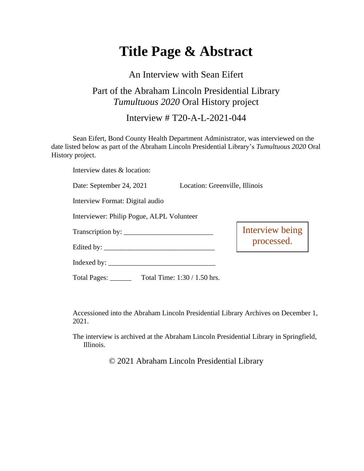## **Title Page & Abstract**

An Interview with Sean Eifert

## Part of the Abraham Lincoln Presidential Library *Tumultuous 2020* Oral History project

Interview # T20-A-L-2021-044

Sean Eifert, Bond County Health Department Administrator, was interviewed on the date listed below as part of the Abraham Lincoln Presidential Library's *Tumultuous 2020* Oral History project.

Interview dates & location:

Date: September 24, 2021 Location: Greenville, Illinois

Interview Format: Digital audio

Interviewer: Philip Pogue, ALPL Volunteer

Transcription by: \_\_\_\_\_\_\_\_\_\_\_\_\_\_\_\_\_\_\_\_\_\_\_\_\_

Edited by: \_\_\_\_\_\_\_\_\_\_\_\_\_\_\_\_\_\_\_\_\_\_\_\_\_\_\_\_\_\_\_

Interview being processed.

Total Pages: \_\_\_\_\_\_ Total Time: 1:30 / 1.50 hrs.

Indexed by: \_\_\_\_\_\_\_\_\_\_\_\_\_\_\_\_\_\_\_\_\_\_\_\_\_\_\_\_\_\_

Accessioned into the Abraham Lincoln Presidential Library Archives on December 1, 2021.

The interview is archived at the Abraham Lincoln Presidential Library in Springfield, Illinois.

© 2021 Abraham Lincoln Presidential Library